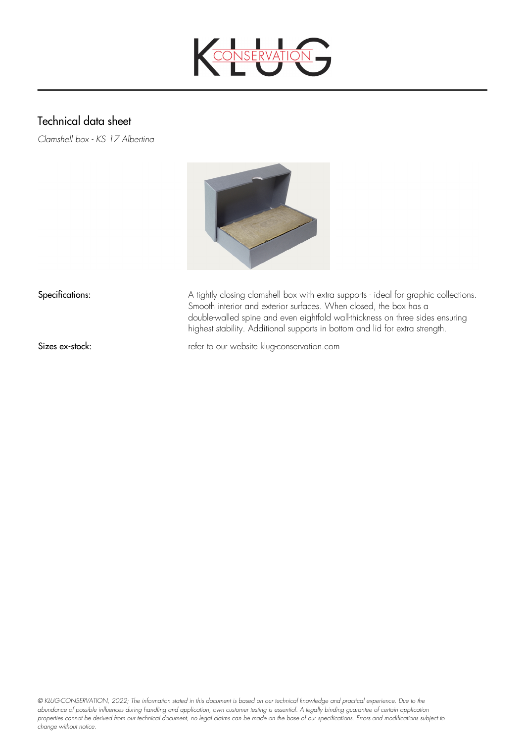

## Technical data sheet

*Clamshell box - KS 17 Albertina*



Specifications: A tightly closing clamshell box with extra supports - ideal for graphic collections. Smooth interior and exterior surfaces. When closed, the box has a double-walled spine and even eightfold wall-thickness on three sides ensuring highest stability. Additional supports in bottom and lid for extra strength.

Sizes ex-stock: refer to our website klug-conservation.com